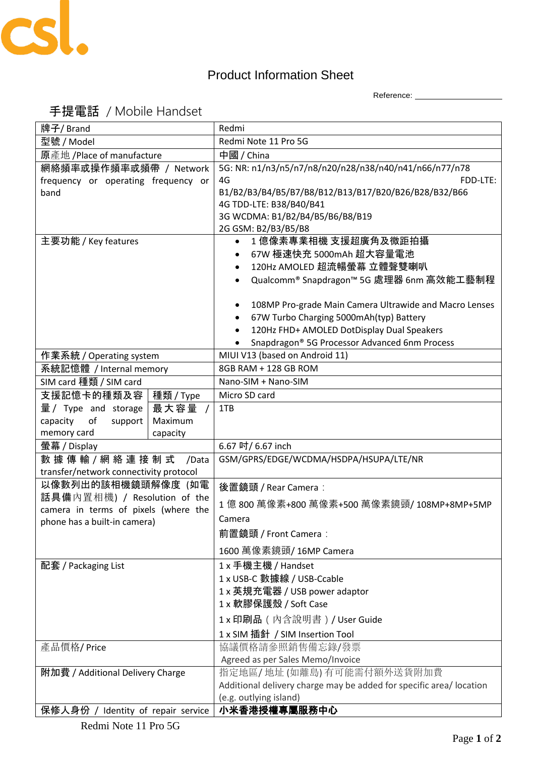

## Product Information Sheet

Reference: \_\_\_\_\_\_\_\_\_\_\_\_\_\_\_\_\_\_\_\_

## 手提電話 / Mobile Handset

| 牌子/ Brand                                                             |           | Redmi                                                                                                                                                                                                                                                                                                                                     |
|-----------------------------------------------------------------------|-----------|-------------------------------------------------------------------------------------------------------------------------------------------------------------------------------------------------------------------------------------------------------------------------------------------------------------------------------------------|
| 型號 / Model                                                            |           | Redmi Note 11 Pro 5G                                                                                                                                                                                                                                                                                                                      |
| 原產地 /Place of manufacture                                             |           | 中國 / China                                                                                                                                                                                                                                                                                                                                |
| 網絡頻率或操作頻率或頻帶 / Network<br>frequency or operating frequency or<br>band |           | 5G: NR: n1/n3/n5/n7/n8/n20/n28/n38/n40/n41/n66/n77/n78<br>4G<br>FDD-LTE:<br>B1/B2/B3/B4/B5/B7/B8/B12/B13/B17/B20/B26/B28/B32/B66<br>4G TDD-LTE: B38/B40/B41<br>3G WCDMA: B1/B2/B4/B5/B6/B8/B19<br>2G GSM: B2/B3/B5/B8                                                                                                                     |
| 主要功能 / Key features                                                   |           | 1 億像素專業相機 支援超廣角及微距拍攝<br>$\bullet$<br>67W 極速快充 5000mAh 超大容量電池<br>$\bullet$<br>120Hz AMOLED 超流暢螢幕 立體聲雙喇叭<br>Qualcomm® Snapdragon™ 5G 處理器 6nm 高效能工藝制程<br>$\bullet$<br>108MP Pro-grade Main Camera Ultrawide and Macro Lenses<br>٠<br>67W Turbo Charging 5000mAh(typ) Battery<br>٠<br>120Hz FHD+ AMOLED DotDisplay Dual Speakers<br>$\bullet$ |
|                                                                       |           | Snapdragon® 5G Processor Advanced 6nm Process                                                                                                                                                                                                                                                                                             |
| 作業系統 / Operating system                                               |           | MIUI V13 (based on Android 11)                                                                                                                                                                                                                                                                                                            |
| 系統記憶體 / Internal memory                                               |           | 8GB RAM + 128 GB ROM                                                                                                                                                                                                                                                                                                                      |
| SIM card 種類 / SIM card                                                |           | Nano-SIM + Nano-SIM                                                                                                                                                                                                                                                                                                                       |
| 支援記憶卡的種類及容                                                            | 種類 / Type | Micro SD card                                                                                                                                                                                                                                                                                                                             |
| 量/ Type and storage                                                   | 最大容量      | 1TB                                                                                                                                                                                                                                                                                                                                       |
| capacity<br>o <sub>f</sub><br>support                                 | Maximum   |                                                                                                                                                                                                                                                                                                                                           |
| memory card                                                           | capacity  |                                                                                                                                                                                                                                                                                                                                           |
| 螢幕 / Display                                                          |           | 6.67 吋/ 6.67 inch                                                                                                                                                                                                                                                                                                                         |
| 數 據 傳 輸 / 網 絡 連 接 制 式<br>/Data                                        |           | GSM/GPRS/EDGE/WCDMA/HSDPA/HSUPA/LTE/NR                                                                                                                                                                                                                                                                                                    |
| transfer/network connectivity protocol                                |           |                                                                                                                                                                                                                                                                                                                                           |
| 以像數列出的該相機鏡頭解像度 (如電                                                    |           | 後置鏡頭 / Rear Camera:                                                                                                                                                                                                                                                                                                                       |
| 話具備內置相機) / Resolution of the                                          |           | 1 億 800 萬像素+800 萬像素+500 萬像素鏡頭/ 108MP+8MP+5MP                                                                                                                                                                                                                                                                                              |
| camera in terms of pixels (where the                                  |           | Camera                                                                                                                                                                                                                                                                                                                                    |
| phone has a built-in camera)                                          |           | 前置鏡頭 / Front Camera :                                                                                                                                                                                                                                                                                                                     |
|                                                                       |           |                                                                                                                                                                                                                                                                                                                                           |
|                                                                       |           | 1600 萬像素鏡頭/ 16MP Camera                                                                                                                                                                                                                                                                                                                   |
| 配套 / Packaging List                                                   |           | 1 x 手機主機 / Handset                                                                                                                                                                                                                                                                                                                        |
|                                                                       |           | 1 x USB-C 數據線 / USB-Ccable                                                                                                                                                                                                                                                                                                                |
|                                                                       |           | 1 x 英規充電器 / USB power adaptor                                                                                                                                                                                                                                                                                                             |
|                                                                       |           | 1 x 軟膠保護殼 / Soft Case                                                                                                                                                                                                                                                                                                                     |
|                                                                       |           | 1 x 印刷品 (内含說明書) / User Guide                                                                                                                                                                                                                                                                                                              |
|                                                                       |           | 1 x SIM 插針 / SIM Insertion Tool                                                                                                                                                                                                                                                                                                           |
| 產品價格/Price                                                            |           | 協議價格請參照銷售備忘錄/發票                                                                                                                                                                                                                                                                                                                           |
|                                                                       |           | Agreed as per Sales Memo/Invoice                                                                                                                                                                                                                                                                                                          |
| 附加費 / Additional Delivery Charge                                      |           | 指定地區/地址(如離島)有可能需付額外送貨附加費                                                                                                                                                                                                                                                                                                                  |
|                                                                       |           | Additional delivery charge may be added for specific area/location                                                                                                                                                                                                                                                                        |
|                                                                       |           | (e.g. outlying island)                                                                                                                                                                                                                                                                                                                    |
| 保修人身份 / Identity of repair service                                    |           | 小米香港授權專屬服務中心                                                                                                                                                                                                                                                                                                                              |

Redmi Note 11 Pro 5G